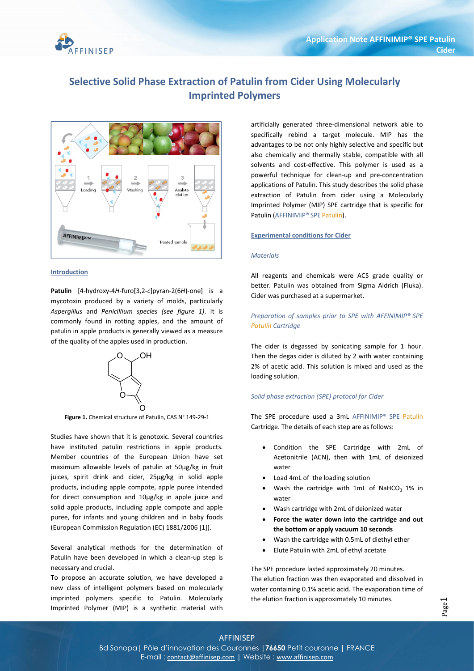

### Selective Solid Phase Extraction of Patulin from Cider Using Molecularly Imprinted Polymers



#### **Introduction**

Patulin [4-hydroxy-4H-furo[3,2-c]pyran-2(6H)-one] is a mycotoxin produced by a variety of molds, particularly Aspergillus and Penicillium species (see figure 1). It is commonly found in rotting apples, and the amount of patulin in apple products is generally viewed as a measure of the quality of the apples used in production.



Figure 1. Chemical structure of Patulin, CAS N° 149-29-1

Studies have shown that it is genotoxic. Several countries have instituted patulin restrictions in apple products. Member countries of the European Union have set maximum allowable levels of patulin at 50µg/kg in fruit juices, spirit drink and cider, 25µg/kg in solid apple products, including apple compote, apple puree intended for direct consumption and 10µg/kg in apple juice and solid apple products, including apple compote and apple puree, for infants and young children and in baby foods (European Commission Regulation (EC) 1881/2006 [1]).

Several analytical methods for the determination of Patulin have been developed in which a clean-up step is necessary and crucial.

To propose an accurate solution, we have developed a new class of intelligent polymers based on molecularly imprinted polymers specific to Patulin. Molecularly Imprinted Polymer (MIP) is a synthetic material with

artificially generated three-dimensional network able to specifically rebind a target molecule. MIP has the advantages to be not only highly selective and specific but also chemically and thermally stable, compatible with all solvents and cost-effective. This polymer is used as a powerful technique for clean-up and pre-concentration applications of Patulin. This study describes the solid phase extraction of Patulin from cider using a Molecularly Imprinted Polymer (MIP) SPE cartridge that is specific for Patulin (AFFINIMIP® SPE Patulin).

#### Experimental conditions for Cider

#### **Materials**

All reagents and chemicals were ACS grade quality or better. Patulin was obtained from Sigma Aldrich (Fluka). Cider was purchased at a supermarket.

#### Preparation of samples prior to SPE with AFFINIMIP® SPE Patulin Cartridge

The cider is degassed by sonicating sample for 1 hour. Then the degas cider is diluted by 2 with water containing 2% of acetic acid. This solution is mixed and used as the loading solution.

#### Solid phase extraction (SPE) protocol for Cider

The SPE procedure used a 3mL AFFINIMIP® SPE Patulin Cartridge. The details of each step are as follows:

- Condition the SPE Cartridge with 2mL of Acetonitrile (ACN), then with 1mL of deionized water
- Load 4mL of the loading solution
- Wash the cartridge with 1mL of NaHCO<sub>3</sub> 1% in water
- Wash cartridge with 2mL of deionized water
- Force the water down into the cartridge and out the bottom or apply vacuum 10 seconds
- Wash the cartridge with 0.5mL of diethyl ether
- Elute Patulin with 2mL of ethyl acetate

The SPE procedure lasted approximately 20 minutes. The elution fraction was then evaporated and dissolved in water containing 0.1% acetic acid. The evaporation time of the elution fraction is approximately 10 minutes.

## AFFINISEP

Bd Sonopa | Pôle d'innovation des Couronnes | 76650 Petit couronne | FRANCE E-mail : contact@affinisep.com | Website : www.affinisep.com